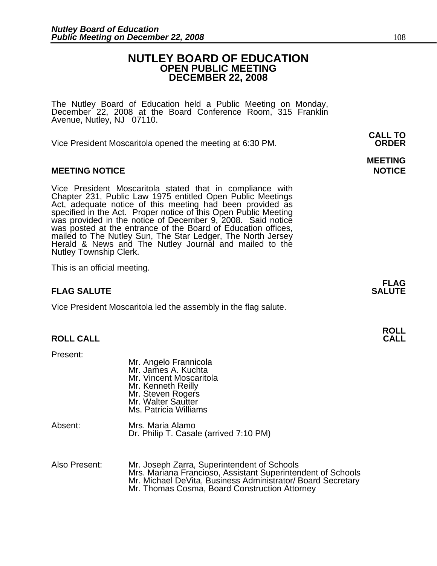### **NUTLEY BOARD OF EDUCATION OPEN PUBLIC MEETING DECEMBER 22, 2008**

The Nutley Board of Education held a Public Meeting on Monday, December 22, 2008 at the Board Conference Room, 315 Franklin Avenue, Nutley, NJ 07110.

 **CALL TO**  Vice President Moscaritola opened the meeting at 6:30 PM. **ORDER**

#### **MEETING NOTICE NOTICE REPORTS AND ALCOHOL**

Vice President Moscaritola stated that in compliance with Chapter 231, Public Law 1975 entitled Open Public Meetings Act, adequate notice of this meeting had been provided as specified in the Act. Proper notice of this Open Public Meeting was provided in the notice of December 9, 2008. Said notice was posted at the entrance of the Board of Education offices, mailed to The Nutley Sun, The Star Ledger, The North Jersey<br>Herald & News and The Nutley Journal and mailed to the Nutley Township Clerk.

This is an official meeting.

#### **FLAG SALUTE** SALUTE

Vice President Moscaritola led the assembly in the flag salute.

| Present:      | Mr. Angelo Frannicola<br>Mr. James A. Kuchta<br>Mr. Vincent Moscaritola<br>Mr. Kenneth Reilly<br>Mr. Steven Rogers<br>Mr. Walter Sautter<br>Ms. Patricia Williams                                                          |
|---------------|----------------------------------------------------------------------------------------------------------------------------------------------------------------------------------------------------------------------------|
| Absent:       | Mrs. Maria Alamo<br>Dr. Philip T. Casale (arrived 7:10 PM)                                                                                                                                                                 |
| Also Present: | Mr. Joseph Zarra, Superintendent of Schools<br>Mrs. Mariana Francioso, Assistant Superintendent of Schools<br>Mr. Michael DeVita, Business Administrator/ Board Secretary<br>Mr. Thomas Cosma, Board Construction Attorney |

# **MEETING**

**FLAG** 

**ROLL ROLL CALL CALL**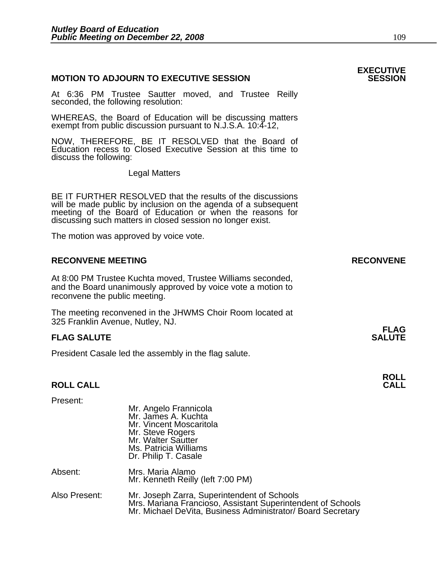#### **MOTION TO ADJOURN TO EXECUTIVE SESSION**

At 6:36 PM Trustee Sautter moved, and Trustee Reilly seconded, the following resolution:

WHEREAS, the Board of Education will be discussing matters exempt from public discussion pursuant to N.J.S.A. 10:4-12,

NOW, THEREFORE, BE IT RESOLVED that the Board of Education recess to Closed Executive Session at this time to discuss the following:

Legal Matters

 BE IT FURTHER RESOLVED that the results of the discussions will be made public by inclusion on the agenda of a subsequent meeting of the Board of Education or when the reasons for discussing such matters in closed session no longer exist.

The motion was approved by voice vote.

## **RECONVENE MEETING RECONVENE** At 8:00 PM Trustee Kuchta moved, Trustee Williams seconded, and the Board unanimously approved by voice vote a motion to reconvene the public meeting. The meeting reconvened in the JHWMS Choir Room located at 325 Franklin Avenue, Nutley, NJ. **FLAG**

#### **FLAG SALUTE** SALUTE SALUTE SALUTE SALUTE SALUTE

President Casale led the assembly in the flag salute.

# **ROLL ROLL CALL CALL**

| Present:      | Mr. Angelo Frannicola<br>Mr. James A. Kuchta<br>Mr. Vincent Moscaritola<br>Mr. Steve Rogers<br>Mr. Walter Sautter<br>Ms. Patricia Williams<br>Dr. Philip T. Casale        |
|---------------|---------------------------------------------------------------------------------------------------------------------------------------------------------------------------|
| Absent:       | Mrs. Maria Alamo<br>Mr. Kenneth Reilly (left 7:00 PM)                                                                                                                     |
| Also Present: | Mr. Joseph Zarra, Superintendent of Schools<br>Mrs. Mariana Francioso, Assistant Superintendent of Schools<br>Mr. Michael DeVita, Business Administrator/ Board Secretary |

**EXECUTIVE**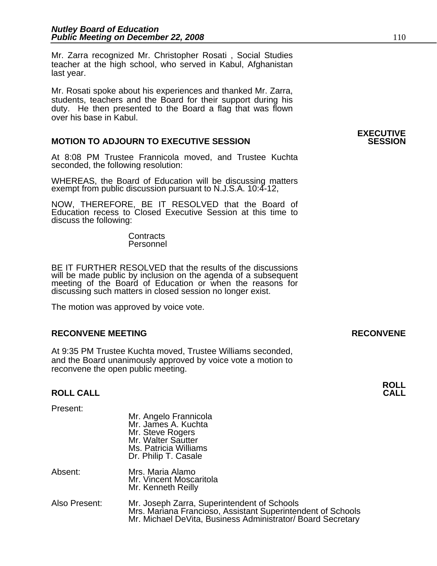Mr. Zarra recognized Mr. Christopher Rosati , Social Studies teacher at the high school, who served in Kabul, Afghanistan last year.

Mr. Rosati spoke about his experiences and thanked Mr. Zarra, students, teachers and the Board for their support during his duty. He then presented to the Board a flag that was flown over his base in Kabul.

#### **MOTION TO ADJOURN TO EXECUTIVE SESSION**

At 8:08 PM Trustee Frannicola moved, and Trustee Kuchta seconded, the following resolution:

WHEREAS, the Board of Education will be discussing matters exempt from public discussion pursuant to N.J.S.A. 10:4-12,

NOW, THEREFORE, BE IT RESOLVED that the Board of Education recess to Closed Executive Session at this time to discuss the following:

> **Contracts** Personnel

BE IT FURTHER RESOLVED that the results of the discussions will be made public by inclusion on the agenda of a subsequent meeting of the Board of Education or when the reasons for discussing such matters in closed session no longer exist.

The motion was approved by voice vote.

#### **RECONVENE MEETING RECONVENE**

At 9:35 PM Trustee Kuchta moved, Trustee Williams seconded, and the Board unanimously approved by voice vote a motion to reconvene the open public meeting.

# **ROLL ROLL CALL CALL**

Present:

|               | Mr. James A. Kuchta<br>Mr. Steve Rogers<br>Mr. Walter Sautter<br>Ms. Patricia Williams<br>Dr. Philip T. Casale                                                            |
|---------------|---------------------------------------------------------------------------------------------------------------------------------------------------------------------------|
| Absent:       | Mrs. Maria Alamo<br>Mr. Vincent Moscaritola<br>Mr. Kenneth Reilly                                                                                                         |
| Also Present: | Mr. Joseph Zarra, Superintendent of Schools<br>Mrs. Mariana Francioso, Assistant Superintendent of Schools<br>Mr. Michael DeVita, Business Administrator/ Board Secretary |

Mr. Angelo Frannicola

# **EXECUTIVE**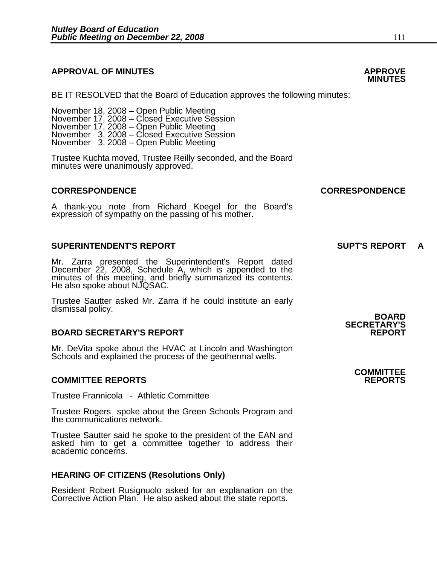#### **APPROVAL OF MINUTES APPROVE**

٦

BE IT RESOLVED that the Board of Education approves the following minutes:

 November 18, 2008 – Open Public Meeting November 17, 2008 – Closed Executive Session November 17, 2008 – Open Public Meeting November 3, 2008 – Closed Executive Session

Trustee Kuchta moved, Trustee Reilly seconded, and the Board minutes were unanimously approved.

#### **CORRESPONDENCE CORRESPONDENCE**

A thank-you note from Richard Koegel for the Board's expression of sympathy on the passing of his mother.

#### **SUPERINTENDENT'S REPORT SUPT'S REPORT A**

Mr. Zarra presented the Superintendent's Report dated December 22, 2008, Schedule A, which is appended to the minutes of this meeting, and briefly summarized its contents. He also spoke about NJQSAC.

Trustee Sautter asked Mr. Zarra if he could institute an early dismissal policy. **BOARD** 

#### **BOARD SECRETARY'S REPORT**

Mr. DeVita spoke about the HVAC at Lincoln and Washington Schools and explained the process of the geothermal wells.

#### **COMMITTEE REPORTS REPORTS**

Trustee Frannicola - Athletic Committee

Trustee Rogers spoke about the Green Schools Program and the communications network.

Trustee Sautter said he spoke to the president of the EAN and asked him to get a committee together to address their academic concerns.

#### **HEARING OF CITIZENS (Resolutions Only)**

Resident Robert Rusignuolo asked for an explanation on the Corrective Action Plan. He also asked about the state reports.

# **SECRETARY'S**

# **COMMITTEE**

# **MINUTES**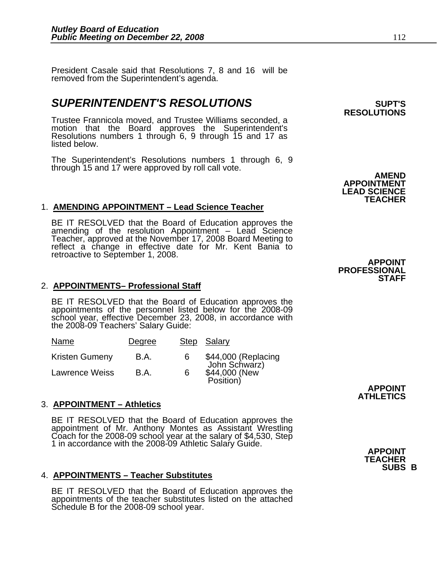President Casale said that Resolutions 7, 8 and 16 will be removed from the Superintendent's agenda.

## **SUPERINTENDENT'S RESOLUTIONS** *SUPERINTENDENT'S*

Trustee Frannicola moved, and Trustee Williams seconded, a motion that the Board approves the Superintendent's Resolutions numbers 1 through 6, 9 through 15 and 17 as listed below.

The Superintendent's Resolutions numbers 1 through 6, 9<br>through 15 and 17 were approved by roll call vote. **AMEND** 

#### 1. **AMENDING APPOINTMENT – Lead Science Teacher**

BE IT RESOLVED that the Board of Education approves the amending of the resolution Appointment – Lead Science Teacher, approved at the November 17, 2008 Board Meeting to reflect a change in effective date for Mr. Kent Bania to retroactive to September 1, 2008.

#### 2. **APPOINTMENTS– Professional Staff**

BE IT RESOLVED that the Board of Education approves the appointments of the personnel listed below for the 2008-09 school year, effective December 23, 2008, in accordance with the 2008-09 Teachers' Salary Guide:

| Name                  | Degree |   | Step Salary                                                        |
|-----------------------|--------|---|--------------------------------------------------------------------|
| <b>Kristen Gumeny</b> | B.A.   | 6 |                                                                    |
| <b>Lawrence Weiss</b> | B.A.   | 6 | \$44,000 (Replacing<br>John Schwarz)<br>\$44,000 (New<br>Position) |

#### 3. **APPOINTMENT – Athletics**

BE IT RESOLVED that the Board of Education approves the appointment of Mr. Anthony Montes as Assistant Wrestling Coach for the 2008-09 school year at the salary of \$4,530, Step 1 in accordance with the 2008-09 Athletic Salary Guide. **APPOINT** 

#### 4. **APPOINTMENTS – Teacher Substitutes**

BE IT RESOLVED that the Board of Education approves the appointments of the teacher substitutes listed on the attached Schedule B for the 2008-09 school year.

**RESOLUTIONS** 

**APPOINTMENT LEAD SCIENCE TEACHER** 

**APPOINT PROFESSIONAL STAFF** 

> **APPOINT ATHLETICS**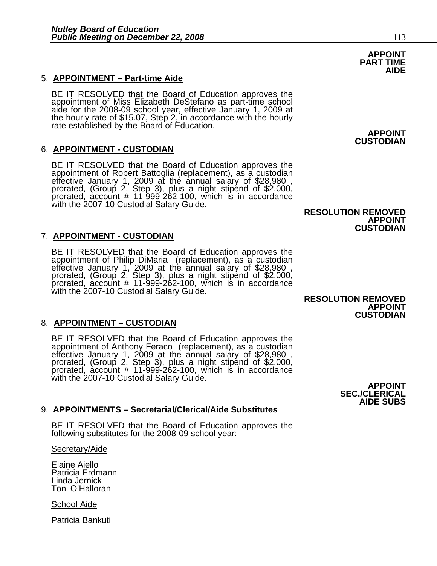#### 5. **APPOINTMENT – Part-time Aide**

BE IT RESOLVED that the Board of Education approves the appointment of Miss Elizabeth DeStefano as part-time school aide for the 2008-09 school year, effective January 1, 2009 at the hourly rate of \$15.07, Step 2, in accor

#### 6. **APPOINTMENT - CUSTODIAN**

BE IT RESOLVED that the Board of Education approves the appointment of Robert Battoglia (replacement), as a custodian effective January 1, 2009 at the annual salary of \$28,980, prorated, (Group 2, Step 3), plus a night sti with the 2007-10 Custodial Salary Guide.

#### 7. **APPOINTMENT - CUSTODIAN**

BE IT RESOLVED that the Board of Education approves the appointment of Philip DiMaria (replacement), as a custodian effective January 1, 2009 at the annual salary of \$28,980, prorated, (Group 2, Step 3), plus a night stipe with the 2007-10 Custodial Salary Guide.

#### 8. **APPOINTMENT – CUSTODIAN**

BE IT RESOLVED that the Board of Education approves the appointment of Anthony Feraco (replacement), as a custodian effective January 1, 2009 at the annual salary of \$28,980, prorated, (Group 2, Step 3), plus a night stipe with the 2007-10 Custodial Salary Guide. **APPOINT APPOINT** 

#### 9. **APPOINTMENTS – Secretarial/Clerical/Aide Substitutes**

BE IT RESOLVED that the Board of Education approves the following substitutes for the 2008-09 school year:

Secretary/Aide

Elaine Aiello Patricia Erdmann Linda Jernick Toni O'Halloran

School Aide

Patricia Bankuti

#### **RESOLUTION REMOVED APPOINT CUSTODIAN**

 **RESOLUTION REMOVED APPOINT CUSTODIAN** 

> **SEC./CLERICAL AIDE SUBS**

#### **APPOINT PART TIME AIDE**

**APPOINT CUSTODIAN**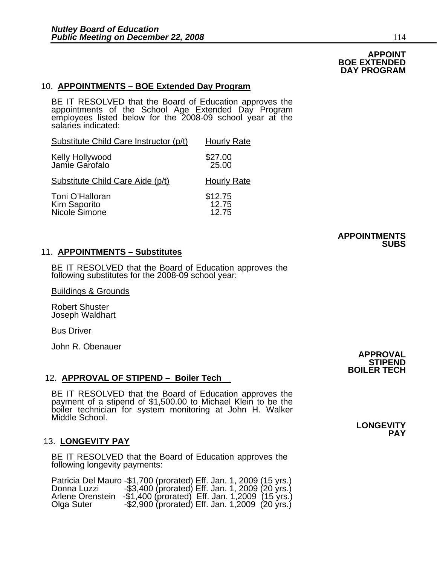#### **APPOINT BOE EXTENDED DAY PROGRAM**

#### 10. **APPOINTMENTS – BOE Extended Day Program**

BE IT RESOLVED that the Board of Education approves the appointments of the School Age Extended Day Program employees listed below for the 2008-09 school year at the salaries indicated:

| Substitute Child Care Instructor (p/t)           | <b>Hourly Rate</b>         |
|--------------------------------------------------|----------------------------|
| Kelly Hollywood<br>Jamie Garofalo                | \$27.00<br>25.00           |
| Substitute Child Care Aide (p/t)                 | <b>Hourly Rate</b>         |
| Toni O'Halloran<br>Kim Saporito<br>Nicole Simone | $$12.75$<br>12.75<br>12.75 |

#### **APPOINTMENTS SUBS**

#### 11. **APPOINTMENTS – Substitutes**

BE IT RESOLVED that the Board of Education approves the following substitutes for the 2008-09 school year:

Buildings & Grounds

Robert Shuster Joseph Waldhart

Bus Driver

John R. Obenauer

#### 12. **APPROVAL OF STIPEND – Boiler Tech**

BE IT RESOLVED that the Board of Education approves the payment of a stipend of \$1,500.00 to Michael Klein to be the boiler technician for system monitoring at John H. Walker Middle School.

#### 13. **LONGEVITY PAY**

BE IT RESOLVED that the Board of Education approves the following longevity payments:

Patricia Del Mauro -\$1,700 (prorated) Eff. Jan. 1, 2009 (15 yrs.)<br>Donna Luzzi -\$3,400 (prorated) Eff. Jan. 1, 2009 (20 yrs.)<br>Arlene Orenstein -\$1,400 (prorated) Eff. Jan. 1,2009 (15 yrs.) Olga Suter -\$2,900 (prorated) Eff. Jan. 1,2009 (20 yrs.)

**APPROVAL STIPEND BOILER TECH** 

> **LONGEVITY PAY**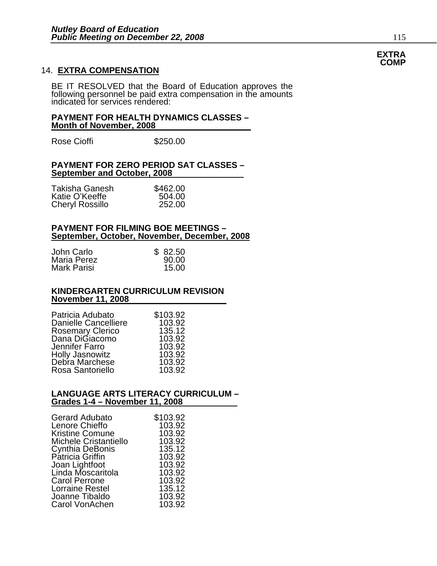#### 14. **EXTRA COMPENSATION**

BE IT RESOLVED that the Board of Education approves the following personnel be paid extra compensation in the amounts indicated for services rendered:

#### **PAYMENT FOR HEALTH DYNAMICS CLASSES – Month of November, 2008**

Rose Cioffi **\$250.00** 

#### **PAYMENT FOR ZERO PERIOD SAT CLASSES – September and October, 2008**

| Takisha Ganesh         | \$462.00 |
|------------------------|----------|
| Katie O'Keeffe         | 504.00   |
| <b>Cheryl Rossillo</b> | 252.00   |

#### **PAYMENT FOR FILMING BOE MEETINGS – September, October, November, December, 2008**

| John Carlo  | \$82.50 |
|-------------|---------|
| Maria Perez | 90.00   |
| Mark Parisi | 15.00   |

#### **KINDERGARTEN CURRICULUM REVISION November 11, 2008**

| Patricia Adubato            | \$103.92 |
|-----------------------------|----------|
| <b>Danielle Cancelliere</b> | 103.92   |
| <b>Rosemary Clerico</b>     | 135.12   |
| Dana DiGiacomo              | 103.92   |
| Jennifer Farro              | 103.92   |
| <b>Holly Jasnowitz</b>      | 103.92   |
| Debra Marchese              | 103.92   |
| Rosa Santoriello            | 103.92   |

#### **LANGUAGE ARTS LITERACY CURRICULUM – Grades 1-4 – November 11, 2008**

| <b>Gerard Adubato</b>        | \$103.92 |
|------------------------------|----------|
| Lenore Chieffo               | 103.92   |
| <b>Kristine Comune</b>       | 103.92   |
| <b>Michele Cristantiello</b> | 103.92   |
|                              |          |
| <b>Cynthia DeBonis</b>       | 135.12   |
| Patricia Griffin             | 103.92   |
| Joan Lightfoot               | 103.92   |
| Linda Moscaritola            | 103.92   |
| <b>Carol Perrone</b>         | 103.92   |
| Lorraine Restel              | 135.12   |
| Joanne Tibaldo               | 103.92   |
| Carol VonAchen               | 103.92   |

#### **EXTRA COMP**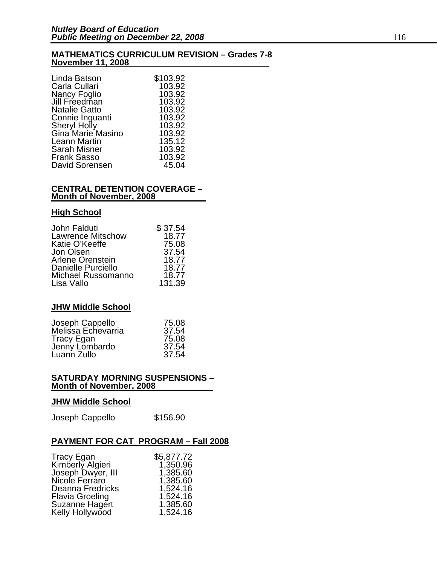#### **MATHEMATICS CURRICULUM REVISION – Grades 7-8 November 11, 2008**

| Linda Batson         | \$103.92 |
|----------------------|----------|
| Carla Cullari        | 103.92   |
| Nancy Foglio         | 103.92   |
| Jill Freedman        | 103.92   |
| <b>Natalie Gatto</b> | 103.92   |
| Connie Inguanti      | 103.92   |
| Sheryl Holly         | 103.92   |
| Gina Marie Masino    | 103.92   |
| Leann Martin         | 135.12   |
| <b>Sarah Misner</b>  | 103.92   |
| <b>Frank Sasso</b>   | 103.92   |
| David Sorensen       | 45.04    |

#### **CENTRAL DETENTION COVERAGE – Month of November, 2008**

#### **High School**

| \$37.54 |
|---------|
| 18.77   |
| 75.08   |
| 37.54   |
| 18.77   |
| 18.77   |
| 18.77   |
| 131.39  |
|         |

#### **JHW Middle School**

| Joseph Cappello    | 75.08 |
|--------------------|-------|
| Melissa Echevarria | 37.54 |
| Tracy Egan         | 75.08 |
| Jenny Lombardo     | 37.54 |
| Luann Zullo        | 37.54 |

#### **SATURDAY MORNING SUSPENSIONS – Month of November, 2008**

#### **JHW Middle School**

| Joseph Cappello | \$156.90 |
|-----------------|----------|
|-----------------|----------|

### **PAYMENT FOR CAT PROGRAM – Fall 2008**

| <b>Tracy Egan</b>      | \$5,877.72 |
|------------------------|------------|
| Kimberly Algieri       | 1,350.96   |
| Joseph Dwyer, III      | 1,385.60   |
| Nicole Ferraro         | 1,385.60   |
| Deanna Fredricks       | 1,524.16   |
| <b>Flavia Groeling</b> | 1,524.16   |
| <b>Suzanne Hagert</b>  | 1,385.60   |
| Kelly Hollywood        | 1,524.16   |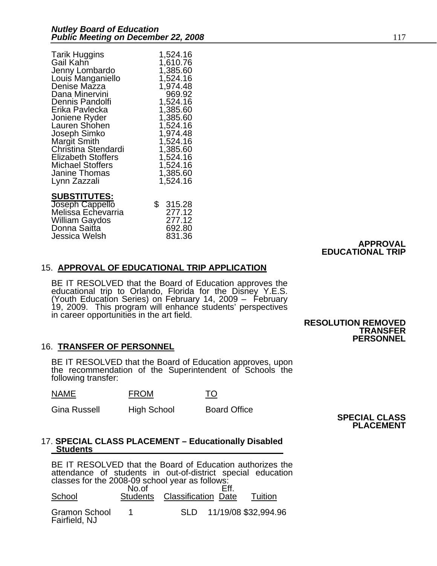| <b>Tarik Huggins</b>      | 1,524.16 |
|---------------------------|----------|
| Gail Kahn                 | 1,610.76 |
| Jenny Lombardo            | 1,385.60 |
| Louis Manganiello         | 1,524.16 |
| Denise Mazza              | 1,974.48 |
| Dana Minervini            | 969.92   |
| Dennis Pandolfi           | 1,524.16 |
| Erika Pavlecka            | 1,385.60 |
| Joniene Ryder             | 1,385.60 |
| Lauren Shohen             | 1,524.16 |
| Joseph Simko              | 1,974.48 |
| <b>Margit Smith</b>       | 1,524.16 |
| Christina Stendardi       | 1,385.60 |
| <b>Elizabeth Stoffers</b> | 1,524.16 |
| Michael Stoffers          | 1,524.16 |
| Janine Thomas             | 1,385.60 |
| Lynn Zazzali              | 1,524.16 |
| <b>SUBSTITUTES:</b>       | 315.28   |
| Joseph Cappello           | \$       |
| Melissa Echevarria        | 277.12   |
| <b>William Gaydos</b>     | 277.12   |
| Donna Saitta              | 692.80   |
| Jessica Welsh             | 831.36   |

#### **APPROVAL EDUCATIONAL TRIP**

#### 15. **APPROVAL OF EDUCATIONAL TRIP APPLICATION**

BE IT RESOLVED that the Board of Education approves the educational trip to Orlando, Florida for the Disney Y.E.S. (Youth Education Series) on February 14, 2009 – February 19, 2009. This program will enhance students' pers

#### **RESOLUTION REMOVED TRANSFER PERSONNEL**

#### 16. **TRANSFER OF PERSONNEL**

BE IT RESOLVED that the Board of Education approves, upon the recommendation of the Superintendent of Schools the following transfer:

NAME FROM TO

Gina Russell High School Board Office **SPECIAL CLASS PLACEMENT** 

#### 17. **SPECIAL CLASS PLACEMENT – Educationally Disabled Students**

BE IT RESOLVED that the Board of Education authorizes the attendance of students in out-of-district special education classes for the 2008-09 school year as follows: **No.of** Eff. School Students Classification Date Tuition Gramon School 1 SLD 11/19/08 \$32,994.96 Fairfield, NJ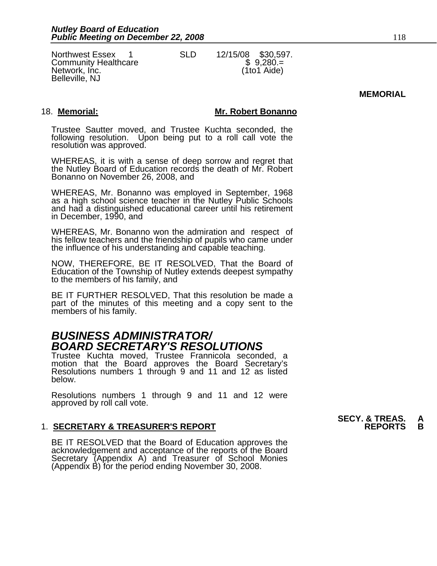Northwest Essex 1 SLD 12/15/08 \$30,597.<br>
Community Healthcare \$ 9,280.=<br>
Network, Inc. (1to1 Aide) Network, Inc. (1to1 Aide) Belleville, NJ

#### **MEMORIAL**

#### 18. **Memorial: Mr. Robert Bonanno**

Trustee Sautter moved, and Trustee Kuchta seconded, the following resolution. Upon being put to a roll call vote the resolution was approved.

WHEREAS, it is with a sense of deep sorrow and regret that the Nutley Board of Education records the death of Mr. Robert Bonanno on November 26, 2008, and

WHEREAS, Mr. Bonanno was employed in September, 1968 as a high school science teacher in the Nutley Public Schools and had a distinguished educational career until his retirement in December, 1990, and

WHEREAS, Mr. Bonanno won the admiration and respect of his fellow teachers and the friendship of pupils who came under the influence of his understanding and capable teaching.

NOW, THEREFORE, BE IT RESOLVED, That the Board of Education of the Township of Nutley extends deepest sympathy to the members of his family, and

BE IT FURTHER RESOLVED, That this resolution be made a part of the minutes of this meeting and a copy sent to the members of his family.

## *BUSINESS ADMINISTRATOR/ BOARD SECRETARY'S RESOLUTIONS*

Trustee Kuchta moved, Trustee Frannicola seconded, a Resolutions numbers 1 through 9 and 11 and 12 as listed below.

Resolutions numbers 1 through 9 and 11 and 12 were approved by roll call vote.

#### **1. SECRETARY & TREASURER'S REPORT**

BE IT RESOLVED that the Board of Education approves the<br>acknowledgement and acceptance of the reports of the Board<br>Secretary (Appendix A) and Treasurer of School Monies (Appendix B) for the period ending November 30, 2008.

**SECY. & TREAS. A**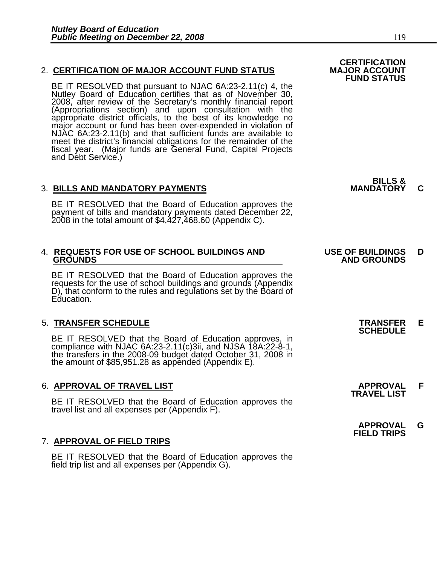#### 2. **CERTIFICATION OF MAJOR ACCOUNT FUND STATUS**

BE IT RESOLVED that pursuant to NJAC 6A:23-2.11(c) 4, the Nutley Board of Education certifies that as of November 30, 2008, after review of the Secretary's monthly financial report (Appropriations section) and upon consultation with the appropriate district officials, to the best of its knowledge no<br>major account or fund has been over-expended in violation of<br>NJAC 6A:23-2.11(b) and that sufficient funds are available to meet the district's financial obligations for the remainder of the fiscal year. (Major funds are General Fund, Capital Projects and Debt Service.)

#### **3. BILLS AND MANDATORY PAYMENTS**

BE IT RESOLVED that the Board of Education approves the payment of bills and mandatory payments dated December 22, 2008 in the total amount of \$4,427,468.60 (Appendix C).

| 4. REQUESTS FOR USE OF SCHOOL BUILDINGS AND |  |
|---------------------------------------------|--|
| <b>GROUNDS</b>                              |  |

BE IT RESOLVED that the Board of Education approves the requests for the use of school buildings and grounds (Appendix D), that conform to the rules and regulations set by the Board of Education.

5. TRANSFER SCHEDULE<br>
BE IT RESOLVED that the Board of Education approves, in **SCHEDULE** compliance with NJAC 6A:23-2.11(c)3ii, and NJSA 18A:22-8-1,<br>the transfers in the 2008-09 budget dated October 31, 2008 in<br>the amount of \$85,951.28 as appended (Appendix E).

## 6. **APPROVAL OF TRAVEL LIST APPROVAL F TRAVEL LIST**

BE IT RESOLVED that the Board of Education approves the travel list and all expenses per (Appendix F).

#### 7. **APPROVAL OF FIELD TRIPS**

BE IT RESOLVED that the Board of Education approves the field trip list and all expenses per (Appendix G).

 **CERTIFICATION FUND STATUS**

**BILLS &** 

#### **USE OF BUILDINGS D GROUNDS AND GROUNDS**

- 
- 
- **APPROVAL G FIELD TRIPS**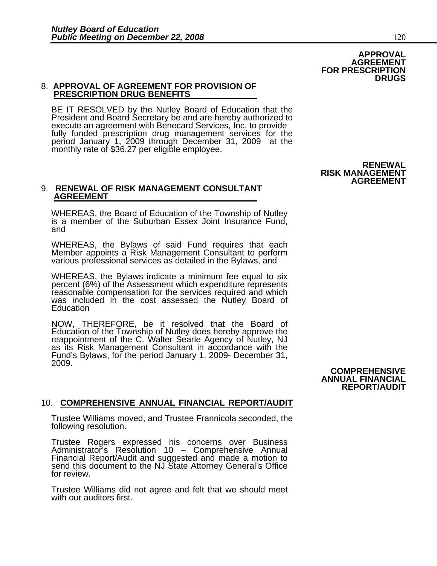#### 8. **APPROVAL OF AGREEMENT FOR PROVISION OF PRESCRIPTION DRUG BENEFITS**

BE IT RESOLVED by the Nutley Board of Education that the President and Board Secretary be and are hereby authorized to execute an agreement with Benecard Services, Inc. to provide<br>fully funded prescription drug management services for the<br>period January 1, 2009 through December 31, 2009 at the<br>monthly rate of \$36.27 per eligible employee.

#### 9. **RENEWAL OF RISK MANAGEMENT CONSULTANT AGREEMENT**

WHEREAS, the Board of Education of the Township of Nutley is a member of the Suburban Essex Joint Insurance Fund, and

WHEREAS, the Bylaws of said Fund requires that each Member appoints a Risk Management Consultant to perform<br>various professional services as detailed in the Bylaws, and

WHEREAS, the Bylaws indicate a minimum fee equal to six percent (6%) of the Assessment which expenditure represents reasonable compensation for the services required and which was included in the cost assessed the Nutley Board of **Education** 

NOW, THEREFORE, be it resolved that the Board of Education of the Township of Nutley does hereby approve the<br>reappointment of the C. Walter Searle Agency of Nutley, NJ<br>as its Risk Management Consultant in accordance with the as its Risk Management Consultant in accordance with the Fund's Bylaws, for the period January 1, 2009- December 31, 2009.

#### 10. **COMPREHENSIVE ANNUAL FINANCIAL REPORT/AUDIT**

Trustee Williams moved, and Trustee Frannicola seconded, the following resolution.

Trustee Rogers expressed his concerns over Business<br>Administrator's Resolution 10 - Comprehensive Annual Financial Report/Audit and suggested and made a motion to send this document to the NJ State Attorney General's Office for review.

Trustee Williams did not agree and felt that we should meet with our auditors first.

# **COMPREHENSIVE**

**ANNUAL FINANCIAL REPORT/AUDIT** 

**RISK MANAGEMENT AGREEMENT**

**RENEWAL**

 **FOR PRESCRIPTION**

**APPROVAL AGREEMENT** 

**DRUGS**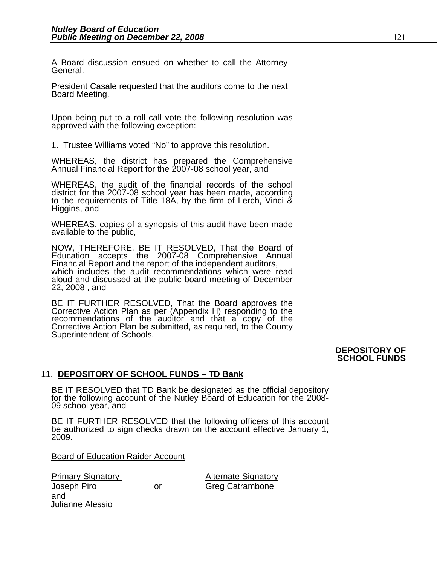A Board discussion ensued on whether to call the Attorney General.

President Casale requested that the auditors come to the next Board Meeting.

Upon being put to a roll call vote the following resolution was approved with the following exception:

1. Trustee Williams voted "No" to approve this resolution.

WHEREAS, the district has prepared the Comprehensive Annual Financial Report for the 2007-08 school year, and

WHEREAS, the audit of the financial records of the school district for the 2007-08 school year has been made, according to the requirements of Title 18A, by the firm of Lerch, Vinci & Higgins, and

WHEREAS, copies of a synopsis of this audit have been made available to the public,

NOW, THEREFORE, BE IT RESOLVED, That the Board of Education accepts the 2007-08 Comprehensive Annual Financial Report and the report of the independent auditors, which includes the audit recommendations which were read aloud and discussed at the public board meeting of December 22, 2008 , and

BE IT FURTHER RESOLVED, That the Board approves the Corrective Action Plan as per (Appendix H) responding to the recommendations of the auditor and that a copy of the Corrective Action Plan be submitted, as required, to the County Superintendent of Schools.

#### **DEPOSITORY OF SCHOOL FUNDS**

#### 11. **DEPOSITORY OF SCHOOL FUNDS – TD Bank**

BE IT RESOLVED that TD Bank be designated as the official depository for the following account of the Nutley Board of Education for the 2008-09 school year, and

BE IT FURTHER RESOLVED that the following officers of this account be authorized to sign checks drawn on the account effective January 1, 2009.

Board of Education Raider Account

Primary Signatory **Alternate Signatory** Joseph Piro or Greg Catrambone and Julianne Alessio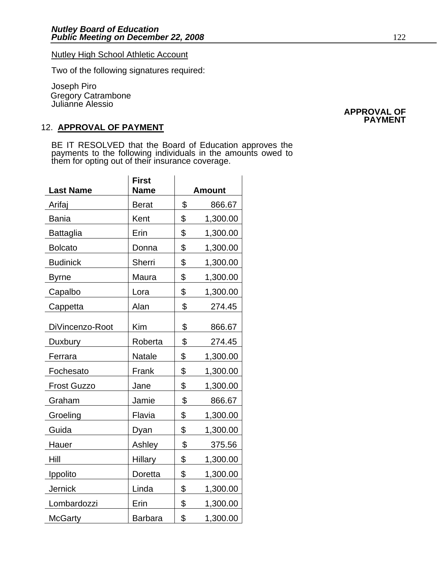#### Nutley High School Athletic Account

Two of the following signatures required:

Joseph Piro Gregory Catrambone Julianne Alessio

#### 12. **APPROVAL OF PAYMENT**

BE IT RESOLVED that the Board of Education approves the payments to the following individuals in the amounts owed to them for opting out of their insurance coverage.

| <b>Last Name</b>   | <b>First</b><br><b>Name</b> | <b>Amount</b>  |
|--------------------|-----------------------------|----------------|
| Arifaj             | <b>Berat</b>                | \$<br>866.67   |
| <b>Bania</b>       | Kent                        | \$<br>1,300.00 |
| <b>Battaglia</b>   | Erin                        | \$<br>1,300.00 |
| <b>Bolcato</b>     | Donna                       | \$<br>1,300.00 |
| <b>Budinick</b>    | Sherri                      | \$<br>1,300.00 |
| <b>Byrne</b>       | Maura                       | \$<br>1,300.00 |
| Capalbo            | Lora                        | \$<br>1,300.00 |
| Cappetta           | Alan                        | \$<br>274.45   |
| DiVincenzo-Root    | Kim                         | \$<br>866.67   |
| Duxbury            | Roberta                     | \$<br>274.45   |
| Ferrara            | <b>Natale</b>               | \$<br>1,300.00 |
| Fochesato          | Frank                       | \$<br>1,300.00 |
| <b>Frost Guzzo</b> | Jane                        | \$<br>1,300.00 |
| Graham             | Jamie                       | \$<br>866.67   |
| Groeling           | Flavia                      | \$<br>1,300.00 |
| Guida              | Dyan                        | \$<br>1,300.00 |
| Hauer              | Ashley                      | \$<br>375.56   |
| Hill               | Hillary                     | \$<br>1,300.00 |
| Ippolito           | Doretta                     | \$<br>1,300.00 |
| <b>Jernick</b>     | Linda                       | \$<br>1,300.00 |
| Lombardozzi        | Erin                        | \$<br>1,300.00 |
| <b>McGarty</b>     | <b>Barbara</b>              | \$<br>1,300.00 |

#### **APPROVAL OF PAYMENT**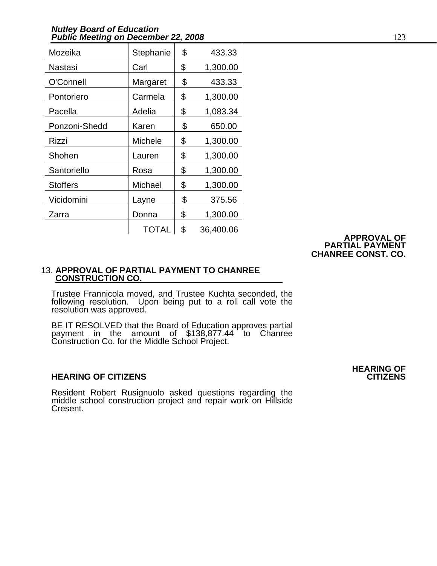#### *Nutley Board of Education*  **Public Meeting on December 22, 2008** 123

| Mozeika         | Stephanie      | \$<br>433.33    |
|-----------------|----------------|-----------------|
| Nastasi         | Carl           | \$<br>1,300.00  |
| O'Connell       | Margaret       | \$<br>433.33    |
| Pontoriero      | Carmela        | \$<br>1,300.00  |
| Pacella         | Adelia         | \$<br>1,083.34  |
| Ponzoni-Shedd   | Karen          | \$<br>650.00    |
| Rizzi           | <b>Michele</b> | \$<br>1,300.00  |
| Shohen          | Lauren         | \$<br>1,300.00  |
| Santoriello     | Rosa           | \$<br>1,300.00  |
| <b>Stoffers</b> | Michael        | \$<br>1,300.00  |
| Vicidomini      | Layne          | \$<br>375.56    |
| Zarra           | Donna          | \$<br>1,300.00  |
|                 | <b>TOTAL</b>   | \$<br>36,400.06 |

## **APPROVAL OF PARTIAL PAYMENT CHANREE CONST. CO.**

#### 13. **APPROVAL OF PARTIAL PAYMENT TO CHANREE CONSTRUCTION CO.**

Trustee Frannicola moved, and Trustee Kuchta seconded, the following resolution. Upon being put to a roll call vote the resolution was approved.

BE IT RESOLVED that the Board of Education approves partial payment in the amount of \$138,877.44 to Chanree Construction Co. for the Middle School Project.

#### **HEARING OF CITIZENS CITIZENS**

Resident Robert Rusignuolo asked questions regarding the middle school construction project and repair work on Hillside Cresent.

# **HEARING OF**